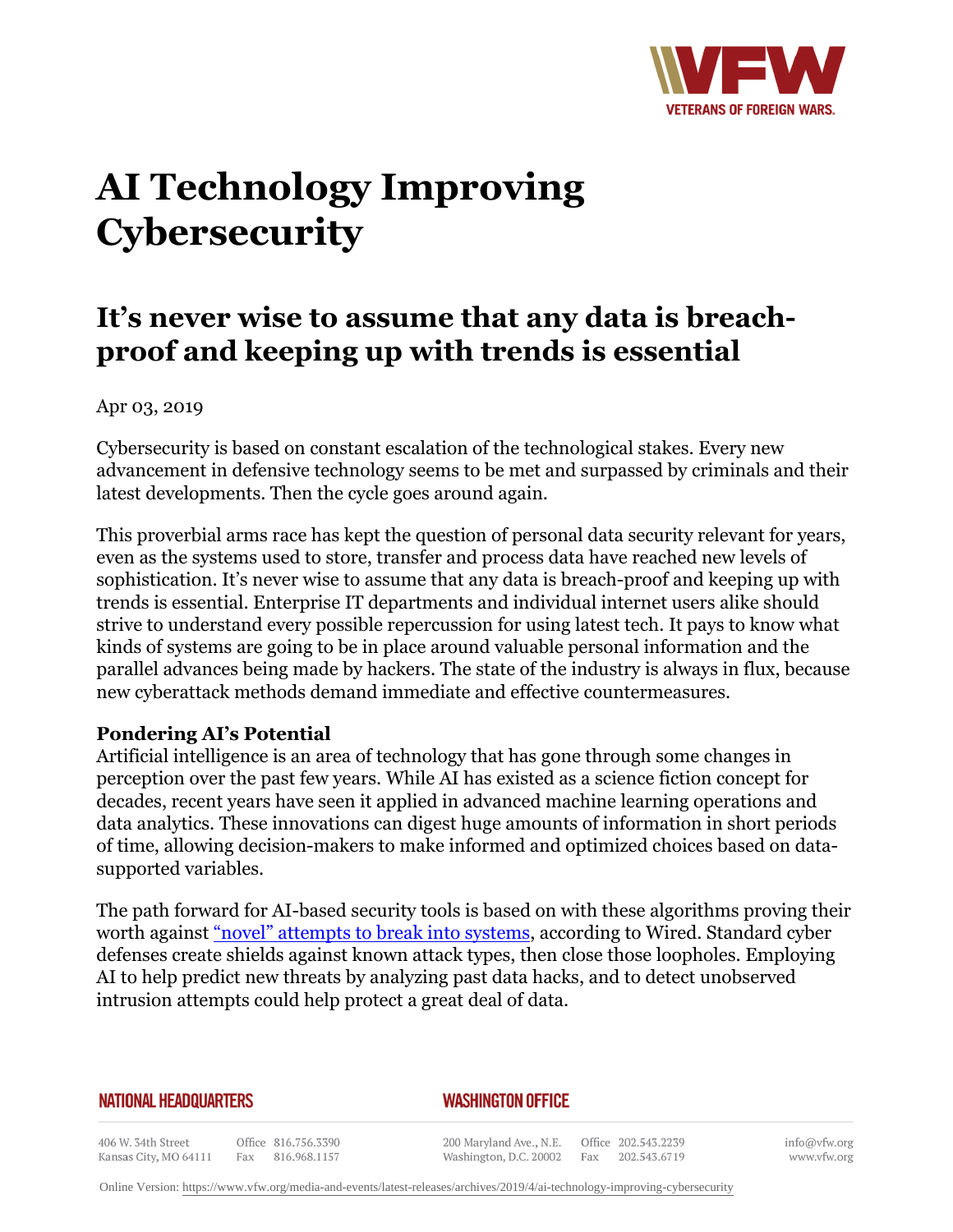

# **AI Technology Improving Cybersecurity**

# **It's never wise to assume that any data is breachproof and keeping up with trends is essential**

Apr 03, 2019

Cybersecurity is based on constant escalation of the technological stakes. Every new advancement in defensive technology seems to be met and surpassed by criminals and their latest developments. Then the cycle goes around again.

This proverbial arms race has kept the question of personal data security relevant for years, even as the systems used to store, transfer and process data have reached new levels of sophistication. It's never wise to assume that any data is breach-proof and keeping up with trends is essential. Enterprise IT departments and individual internet users alike should strive to understand every possible repercussion for using latest tech. It pays to know what kinds of systems are going to be in place around valuable personal information and the parallel advances being made by hackers. The state of the industry is always in flux, because new cyberattack methods demand immediate and effective countermeasures.

# **Pondering AI's Potential**

Artificial intelligence is an area of technology that has gone through some changes in perception over the past few years. While AI has existed as a science fiction concept for decades, recent years have seen it applied in advanced machine learning operations and data analytics. These innovations can digest huge amounts of information in short periods of time, allowing decision-makers to make informed and optimized choices based on datasupported variables.

The path forward for AI-based security tools is based on with these algorithms proving their worth against ["novel" attempts to break into systems,](https:http://www.wired.com/story/firewalls-dont-stop-hackers-ai-might/) according to Wired. Standard cyber defenses create shields against known attack types, then close those loopholes. Employing AI to help predict new threats by analyzing past data hacks, and to detect unobserved intrusion attempts could help protect a great deal of data.

#### **NATIONAL HEADQUARTERS**

### *WASHINGTON OFFICE*

406 W. 34th Street Office 816.756.3390 Kansas City, MO 64111 Fax 816.968.1157

200 Maryland Ave., N.E. Washington, D.C. 20002 Fax

Office 202.543.2239 202.543.6719 info@vfw.org www.vfw.org

Online Version:<https://www.vfw.org/media-and-events/latest-releases/archives/2019/4/ai-technology-improving-cybersecurity>